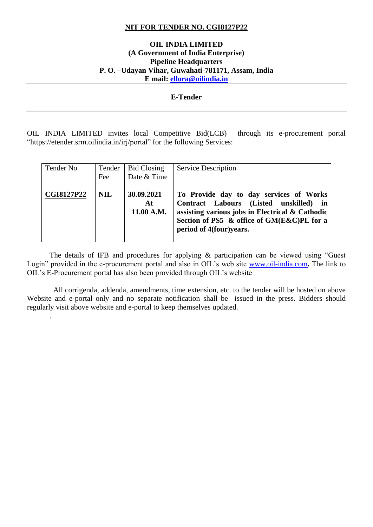### **NIT FOR TENDER NO. CGI8127P22**

### **OIL INDIA LIMITED (A Government of India Enterprise) Pipeline Headquarters P. O. –Udayan Vihar, Guwahati-781171, Assam, India E mail: [ellora@oilindia.in](mailto:ellora@oilindia.in)**

#### **E-Tender**

OIL INDIA LIMITED invites local Competitive Bid(LCB) through its e-procurement portal "https://etender.srm.oilindia.in/irj/portal" for the following Services:

| Tender No         | Tender<br>Fee | <b>Bid Closing</b><br>Date & Time | <b>Service Description</b>                                                                                                                                                                                       |
|-------------------|---------------|-----------------------------------|------------------------------------------------------------------------------------------------------------------------------------------------------------------------------------------------------------------|
| <b>CGI8127P22</b> | <b>NIL</b>    | 30.09.2021<br>At<br>11.00 A.M.    | To Provide day to day services of Works<br>Contract Labours (Listed unskilled) in<br>assisting various jobs in Electrical $\&$ Cathodic<br>Section of PS5 & office of GM(E&C)PL for a<br>period of 4(four)years. |

The details of IFB and procedures for applying & participation can be viewed using "Guest Login" provided in the e-procurement portal and also in OIL's web site [www.oil-india.com](http://www.oil-india.com/)**.** The link to OIL's E-Procurement portal has also been provided through OIL's website

 All corrigenda, addenda, amendments, time extension, etc. to the tender will be hosted on above Website and e-portal only and no separate notification shall be issued in the press. Bidders should regularly visit above website and e-portal to keep themselves updated.

.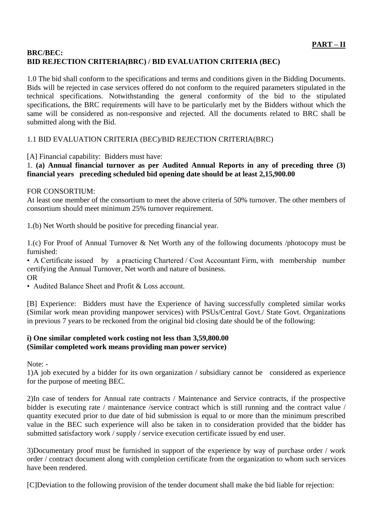### **BRC/BEC: BID REJECTION CRITERIA(BRC) / BID EVALUATION CRITERIA (BEC)**

1.0 The bid shall conform to the specifications and terms and conditions given in the Bidding Documents. Bids will be rejected in case services offered do not conform to the required parameters stipulated in the technical specifications. Notwithstanding the general conformity of the bid to the stipulated specifications, the BRC requirements will have to be particularly met by the Bidders without which the same will be considered as non-responsive and rejected. All the documents related to BRC shall be submitted along with the Bid.

# 1.1 BID EVALUATION CRITERIA (BEC)/BID REJECTION CRITERIA(BRC)

[A] Financial capability: Bidders must have:

### 1. **(a) Annual financial turnover as per Audited Annual Reports in any of preceding three (3) financial years preceding scheduled bid opening date should be at least 2,15,900.00**

### FOR CONSORTIUM:

At least one member of the consortium to meet the above criteria of 50% turnover. The other members of consortium should meet minimum 25% turnover requirement.

1.(b) Net Worth should be positive for preceding financial year.

1.(c) For Proof of Annual Turnover & Net Worth any of the following documents /photocopy must be furnished:

• A Certificate issued by a practicing Chartered / Cost Accountant Firm, with membership number certifying the Annual Turnover, Net worth and nature of business. OR

• Audited Balance Sheet and Profit & Loss account.

[B] Experience: Bidders must have the Experience of having successfully completed similar works (Similar work mean providing manpower services) with PSUs/Central Govt./ State Govt. Organizations in previous 7 years to be reckoned from the original bid closing date should be of the following:

### **i) One similar completed work costing not less than 3,59,800.00 (Similar completed work means providing man power service)**

Note: -

1)A job executed by a bidder for its own organization / subsidiary cannot be considered as experience for the purpose of meeting BEC.

2)In case of tenders for Annual rate contracts / Maintenance and Service contracts, if the prospective bidder is executing rate / maintenance /service contract which is still running and the contract value / quantity executed prior to due date of bid submission is equal to or more than the minimum prescribed value in the BEC such experience will also be taken in to consideration provided that the bidder has submitted satisfactory work / supply / service execution certificate issued by end user.

3)Documentary proof must be furnished in support of the experience by way of purchase order / work order / contract document along with completion certificate from the organization to whom such services have been rendered.

[C]Deviation to the following provision of the tender document shall make the bid liable for rejection: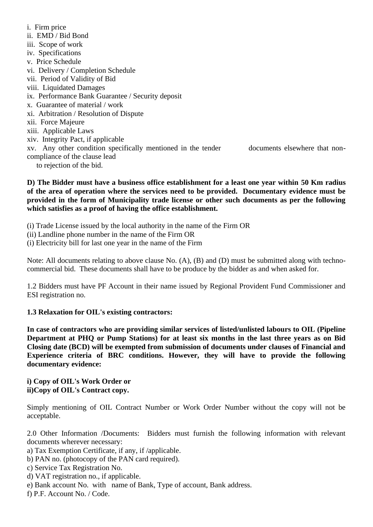i. Firm price ii. EMD / Bid Bond iii. Scope of work iv. Specifications v. Price Schedule vi. Delivery / Completion Schedule vii. Period of Validity of Bid viii. Liquidated Damages ix. Performance Bank Guarantee / Security deposit x. Guarantee of material / work xi. Arbitration / Resolution of Dispute xii. Force Majeure xiii. Applicable Laws xiv. Integrity Pact, if applicable xv. Any other condition specifically mentioned in the tender documents elsewhere that noncompliance of the clause lead to rejection of the bid.

**D) The Bidder must have a business office establishment for a least one year within 50 Km radius of the area of operation where the services need to be provided. Documentary evidence must be provided in the form of Municipality trade license or other such documents as per the following which satisfies as a proof of having the office establishment.**

(i) Trade License issued by the local authority in the name of the Firm OR

(ii) Landline phone number in the name of the Firm OR

(i) Electricity bill for last one year in the name of the Firm

Note: All documents relating to above clause No. (A), (B) and (D) must be submitted along with technocommercial bid. These documents shall have to be produce by the bidder as and when asked for.

1.2 Bidders must have PF Account in their name issued by Regional Provident Fund Commissioner and ESI registration no.

#### **1.3 Relaxation for OIL's existing contractors:**

**In case of contractors who are providing similar services of listed/unlisted labours to OIL (Pipeline Department at PHQ or Pump Stations) for at least six months in the last three years as on Bid Closing date (BCD) will be exempted from submission of documents under clauses of Financial and Experience criteria of BRC conditions. However, they will have to provide the following documentary evidence:**

**i) Copy of OIL's Work Order or ii)Copy of OIL's Contract copy.**

Simply mentioning of OIL Contract Number or Work Order Number without the copy will not be acceptable.

2.0 Other Information /Documents: Bidders must furnish the following information with relevant documents wherever necessary:

- a) Tax Exemption Certificate, if any, if /applicable.
- b) PAN no. (photocopy of the PAN card required).
- c) Service Tax Registration No.
- d) VAT registration no., if applicable.
- e) Bank account No. with name of Bank, Type of account, Bank address.
- f) P.F. Account No. / Code.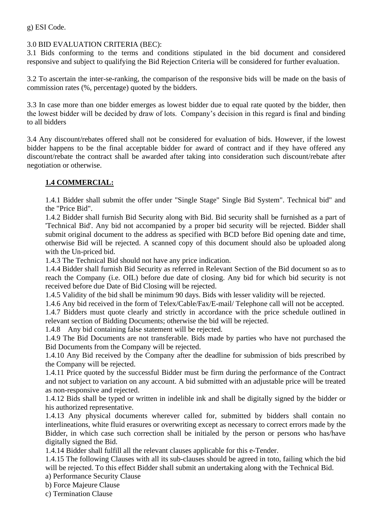g) ESI Code.

# 3.0 BID EVALUATION CRITERIA (BEC):

3.1 Bids conforming to the terms and conditions stipulated in the bid document and considered responsive and subject to qualifying the Bid Rejection Criteria will be considered for further evaluation.

3.2 To ascertain the inter-se-ranking, the comparison of the responsive bids will be made on the basis of commission rates (%, percentage) quoted by the bidders.

3.3 In case more than one bidder emerges as lowest bidder due to equal rate quoted by the bidder, then the lowest bidder will be decided by draw of lots. Company's decision in this regard is final and binding to all bidders

3.4 Any discount/rebates offered shall not be considered for evaluation of bids. However, if the lowest bidder happens to be the final acceptable bidder for award of contract and if they have offered any discount/rebate the contract shall be awarded after taking into consideration such discount/rebate after negotiation or otherwise.

## **1.4 COMMERCIAL:**

1.4.1 Bidder shall submit the offer under "Single Stage" Single Bid System". Technical bid" and the "Price Bid".

1.4.2 Bidder shall furnish Bid Security along with Bid. Bid security shall be furnished as a part of 'Technical Bid'. Any bid not accompanied by a proper bid security will be rejected. Bidder shall submit original document to the address as specified with BCD before Bid opening date and time, otherwise Bid will be rejected. A scanned copy of this document should also be uploaded along with the Un-priced bid.

1.4.3 The Technical Bid should not have any price indication.

1.4.4 Bidder shall furnish Bid Security as referred in Relevant Section of the Bid document so as to reach the Company (i.e. OIL) before due date of closing. Any bid for which bid security is not received before due Date of Bid Closing will be rejected.

1.4.5 Validity of the bid shall be minimum 90 days. Bids with lesser validity will be rejected.

1.4.6 Any bid received in the form of Telex/Cable/Fax/E-mail/ Telephone call will not be accepted. 1.4.7 Bidders must quote clearly and strictly in accordance with the price schedule outlined in

relevant section of Bidding Documents; otherwise the bid will be rejected.

1.4.8 Any bid containing false statement will be rejected.

1.4.9 The Bid Documents are not transferable. Bids made by parties who have not purchased the Bid Documents from the Company will be rejected.

1.4.10 Any Bid received by the Company after the deadline for submission of bids prescribed by the Company will be rejected.

1.4.11 Price quoted by the successful Bidder must be firm during the performance of the Contract and not subject to variation on any account. A bid submitted with an adjustable price will be treated as non-responsive and rejected.

1.4.12 Bids shall be typed or written in indelible ink and shall be digitally signed by the bidder or his authorized representative.

1.4.13 Any physical documents wherever called for, submitted by bidders shall contain no interlineations, white fluid erasures or overwriting except as necessary to correct errors made by the Bidder, in which case such correction shall be initialed by the person or persons who has/have digitally signed the Bid.

1.4.14 Bidder shall fulfill all the relevant clauses applicable for this e-Tender.

1.4.15 The following Clauses with all its sub-clauses should be agreed in toto, failing which the bid will be rejected. To this effect Bidder shall submit an undertaking along with the Technical Bid.

a) Performance Security Clause

b) Force Majeure Clause

c) Termination Clause